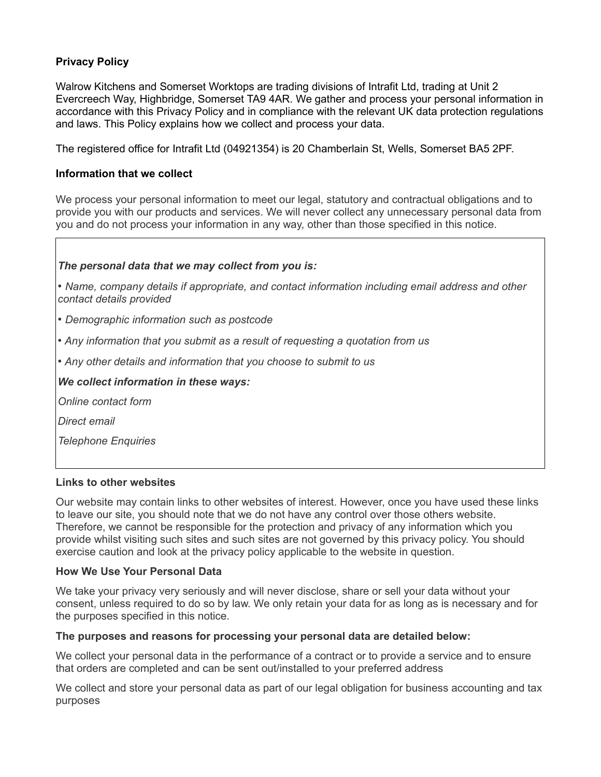# **Privacy Policy**

Walrow Kitchens and Somerset Worktops are trading divisions of Intrafit Ltd, trading at Unit 2 Evercreech Way, Highbridge, Somerset TA9 4AR. We gather and process your personal information in accordance with this Privacy Policy and in compliance with the relevant UK data protection regulations and laws. This Policy explains how we collect and process your data.

The registered office for Intrafit Ltd (04921354) is 20 Chamberlain St, Wells, Somerset BA5 2PF.

## **Information that we collect**

We process your personal information to meet our legal, statutory and contractual obligations and to provide you with our products and services. We will never collect any unnecessary personal data from you and do not process your information in any way, other than those specified in this notice.

## *The personal data that we may collect from you is:*

*• Name, company details if appropriate, and contact information including email address and other contact details provided*

- *Demographic information such as postcode*
- *Any information that you submit as a result of requesting a quotation from us*
- *Any other details and information that you choose to submit to us*

## *We collect information in these ways:*

*Online contact form*

*Direct email*

*Telephone Enquiries*

#### **Links to other websites**

Our website may contain links to other websites of interest. However, once you have used these links to leave our site, you should note that we do not have any control over those others website. Therefore, we cannot be responsible for the protection and privacy of any information which you provide whilst visiting such sites and such sites are not governed by this privacy policy. You should exercise caution and look at the privacy policy applicable to the website in question.

#### **How We Use Your Personal Data**

We take your privacy very seriously and will never disclose, share or sell your data without your consent, unless required to do so by law. We only retain your data for as long as is necessary and for the purposes specified in this notice.

#### **The purposes and reasons for processing your personal data are detailed below:**

We collect your personal data in the performance of a contract or to provide a service and to ensure that orders are completed and can be sent out/installed to your preferred address

We collect and store your personal data as part of our legal obligation for business accounting and tax purposes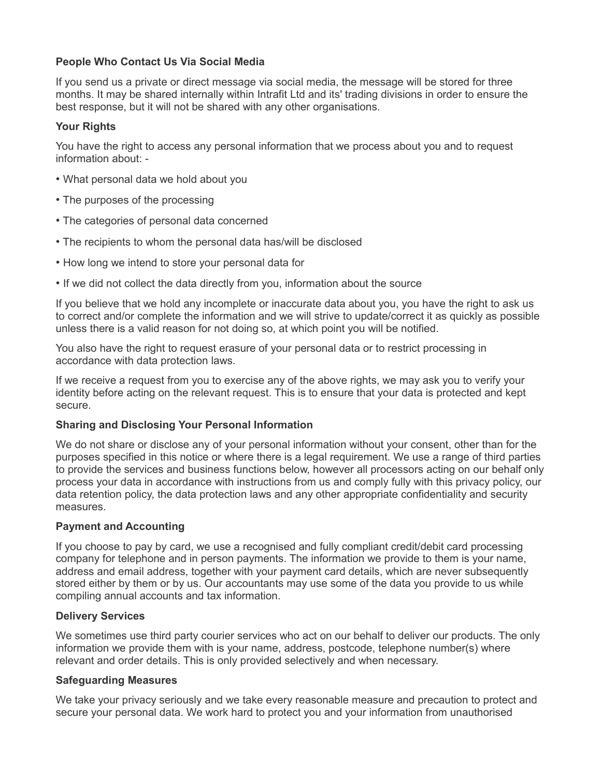# **People Who Contact Us Via Social Media**

If you send us a private or direct message via social media, the message will be stored for three months. It may be shared internally within Intrafit Ltd and its' trading divisions in order to ensure the best response, but it will not be shared with any other organisations.

# **Your Rights**

You have the right to access any personal information that we process about you and to request information about: -

- What personal data we hold about you
- The purposes of the processing
- The categories of personal data concerned
- The recipients to whom the personal data has/will be disclosed
- How long we intend to store your personal data for
- If we did not collect the data directly from you, information about the source

If you believe that we hold any incomplete or inaccurate data about you, you have the right to ask us to correct and/or complete the information and we will strive to update/correct it as quickly as possible unless there is a valid reason for not doing so, at which point you will be notified.

You also have the right to request erasure of your personal data or to restrict processing in accordance with data protection laws.

If we receive a request from you to exercise any of the above rights, we may ask you to verify your identity before acting on the relevant request. This is to ensure that your data is protected and kept secure.

# **Sharing and Disclosing Your Personal Information**

We do not share or disclose any of your personal information without your consent, other than for the purposes specified in this notice or where there is a legal requirement. We use a range of third parties to provide the services and business functions below, however all processors acting on our behalf only process your data in accordance with instructions from us and comply fully with this privacy policy, our data retention policy, the data protection laws and any other appropriate confidentiality and security measures.

# **Payment and Accounting**

If you choose to pay by card, we use a recognised and fully compliant credit/debit card processing company for telephone and in person payments. The information we provide to them is your name, address and email address, together with your payment card details, which are never subsequently stored either by them or by us. Our accountants may use some of the data you provide to us while compiling annual accounts and tax information.

# **Delivery Services**

We sometimes use third party courier services who act on our behalf to deliver our products. The only information we provide them with is your name, address, postcode, telephone number(s) where relevant and order details. This is only provided selectively and when necessary.

# **Safeguarding Measures**

We take your privacy seriously and we take every reasonable measure and precaution to protect and secure your personal data. We work hard to protect you and your information from unauthorised